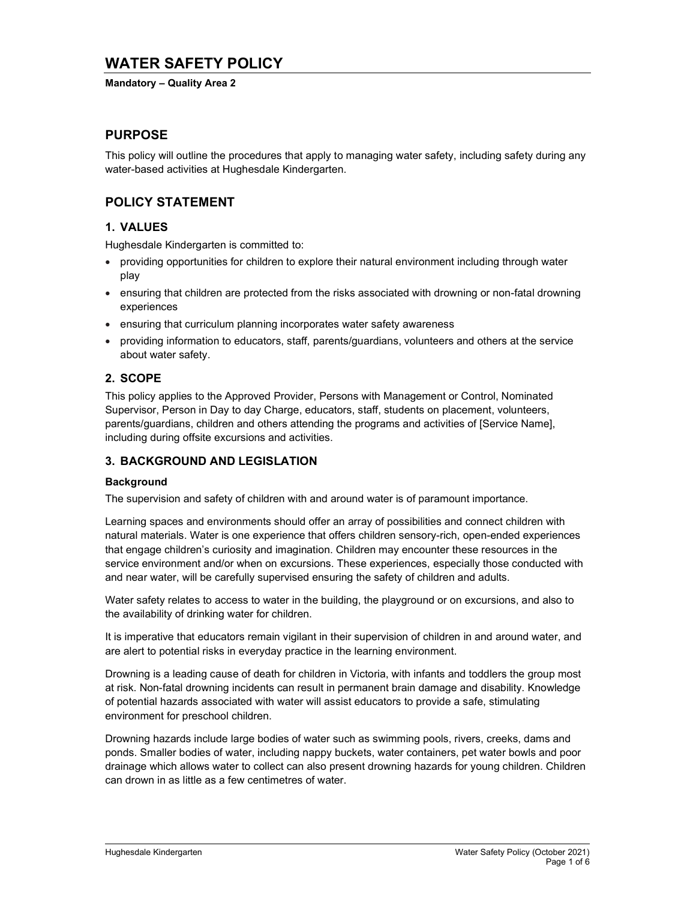# WATER SAFETY POLICY

#### Mandatory – Quality Area 2

## PURPOSE

This policy will outline the procedures that apply to managing water safety, including safety during any water-based activities at Hughesdale Kindergarten.

## POLICY STATEMENT

## 1. VALUES

Hughesdale Kindergarten is committed to:

- providing opportunities for children to explore their natural environment including through water play
- ensuring that children are protected from the risks associated with drowning or non-fatal drowning experiences
- ensuring that curriculum planning incorporates water safety awareness
- providing information to educators, staff, parents/guardians, volunteers and others at the service about water safety.

## 2. SCOPE

This policy applies to the Approved Provider, Persons with Management or Control, Nominated Supervisor, Person in Day to day Charge, educators, staff, students on placement, volunteers, parents/guardians, children and others attending the programs and activities of [Service Name], including during offsite excursions and activities.

### 3. BACKGROUND AND LEGISLATION

### **Background**

The supervision and safety of children with and around water is of paramount importance.

Learning spaces and environments should offer an array of possibilities and connect children with natural materials. Water is one experience that offers children sensory-rich, open-ended experiences that engage children's curiosity and imagination. Children may encounter these resources in the service environment and/or when on excursions. These experiences, especially those conducted with and near water, will be carefully supervised ensuring the safety of children and adults.

Water safety relates to access to water in the building, the playground or on excursions, and also to the availability of drinking water for children.

It is imperative that educators remain vigilant in their supervision of children in and around water, and are alert to potential risks in everyday practice in the learning environment.

Drowning is a leading cause of death for children in Victoria, with infants and toddlers the group most at risk. Non-fatal drowning incidents can result in permanent brain damage and disability. Knowledge of potential hazards associated with water will assist educators to provide a safe, stimulating environment for preschool children.

Drowning hazards include large bodies of water such as swimming pools, rivers, creeks, dams and ponds. Smaller bodies of water, including nappy buckets, water containers, pet water bowls and poor drainage which allows water to collect can also present drowning hazards for young children. Children can drown in as little as a few centimetres of water.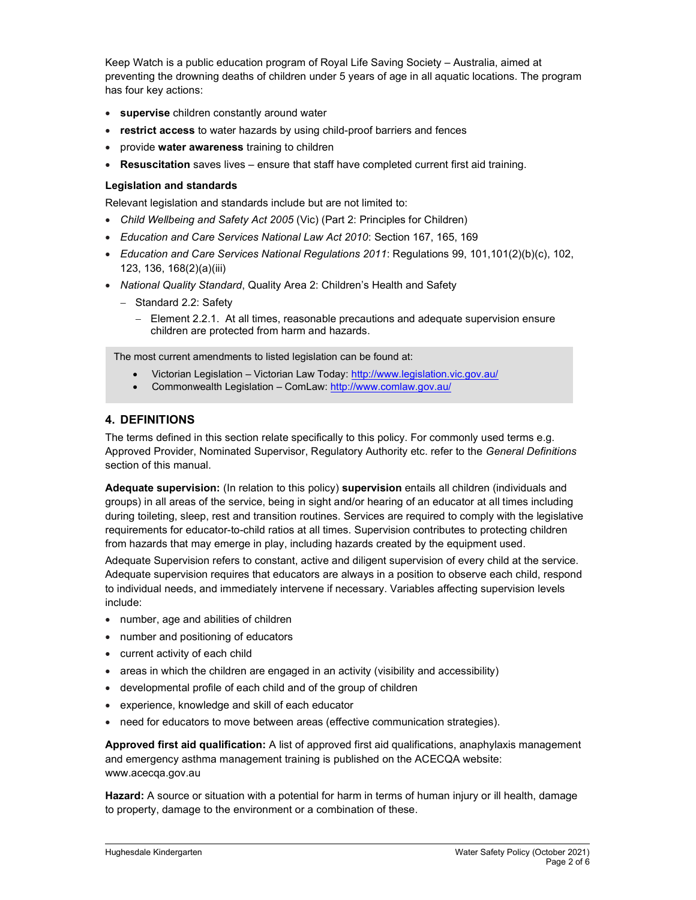Keep Watch is a public education program of Royal Life Saving Society – Australia, aimed at preventing the drowning deaths of children under 5 years of age in all aquatic locations. The program has four key actions:

- **supervise** children constantly around water
- restrict access to water hazards by using child-proof barriers and fences
- provide water awareness training to children
- Resuscitation saves lives ensure that staff have completed current first aid training.

### Legislation and standards

Relevant legislation and standards include but are not limited to:

- Child Wellbeing and Safety Act 2005 (Vic) (Part 2: Principles for Children)
- Education and Care Services National Law Act 2010: Section 167, 165, 169
- Education and Care Services National Regulations 2011: Regulations 99, 101, 101(2)(b)(c), 102, 123, 136, 168(2)(a)(iii)
- National Quality Standard, Quality Area 2: Children's Health and Safety
	- Standard 2.2: Safety
		- Element 2.2.1. At all times, reasonable precautions and adequate supervision ensure children are protected from harm and hazards.

The most current amendments to listed legislation can be found at:

- Victorian Legislation Victorian Law Today: http://www.legislation.vic.gov.au/
- Commonwealth Legislation ComLaw: http://www.comlaw.gov.au/

## 4. DEFINITIONS

The terms defined in this section relate specifically to this policy. For commonly used terms e.g. Approved Provider, Nominated Supervisor, Regulatory Authority etc. refer to the General Definitions section of this manual.

Adequate supervision: (In relation to this policy) supervision entails all children (individuals and groups) in all areas of the service, being in sight and/or hearing of an educator at all times including during toileting, sleep, rest and transition routines. Services are required to comply with the legislative requirements for educator-to-child ratios at all times. Supervision contributes to protecting children from hazards that may emerge in play, including hazards created by the equipment used.

Adequate Supervision refers to constant, active and diligent supervision of every child at the service. Adequate supervision requires that educators are always in a position to observe each child, respond to individual needs, and immediately intervene if necessary. Variables affecting supervision levels include:

- number, age and abilities of children
- number and positioning of educators
- current activity of each child
- areas in which the children are engaged in an activity (visibility and accessibility)
- developmental profile of each child and of the group of children
- experience, knowledge and skill of each educator
- need for educators to move between areas (effective communication strategies).

Approved first aid qualification: A list of approved first aid qualifications, anaphylaxis management and emergency asthma management training is published on the ACECQA website: www.acecqa.gov.au

Hazard: A source or situation with a potential for harm in terms of human injury or ill health, damage to property, damage to the environment or a combination of these.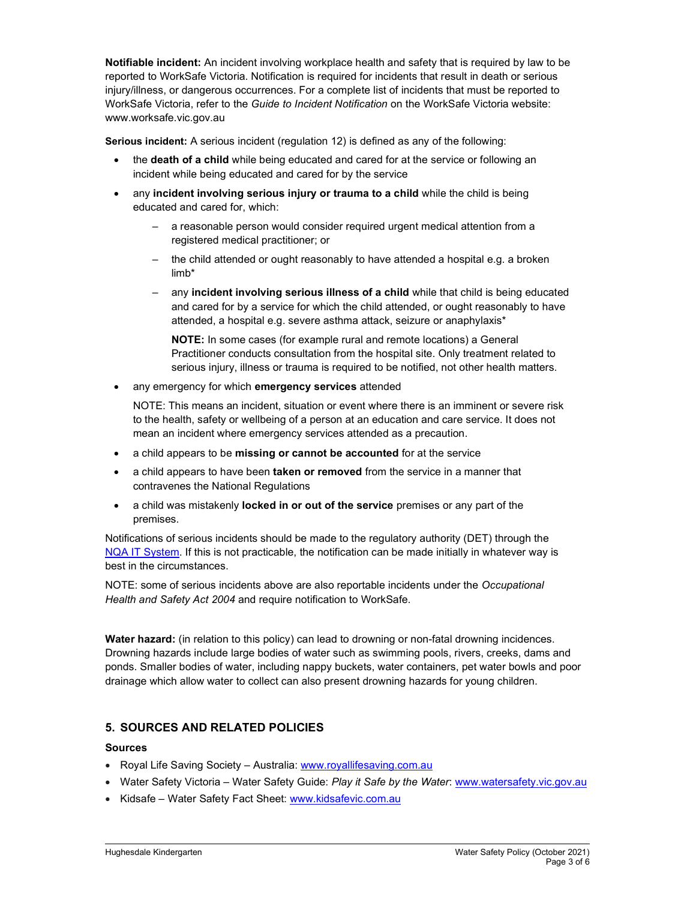Notifiable incident: An incident involving workplace health and safety that is required by law to be reported to WorkSafe Victoria. Notification is required for incidents that result in death or serious injury/illness, or dangerous occurrences. For a complete list of incidents that must be reported to WorkSafe Victoria, refer to the Guide to Incident Notification on the WorkSafe Victoria website: www.worksafe.vic.gov.au

Serious incident: A serious incident (regulation 12) is defined as any of the following:

- the death of a child while being educated and cared for at the service or following an incident while being educated and cared for by the service
- any incident involving serious injury or trauma to a child while the child is being educated and cared for, which:
	- a reasonable person would consider required urgent medical attention from a registered medical practitioner; or
	- the child attended or ought reasonably to have attended a hospital e.g. a broken limb\*
	- any incident involving serious illness of a child while that child is being educated and cared for by a service for which the child attended, or ought reasonably to have attended, a hospital e.g. severe asthma attack, seizure or anaphylaxis\*

NOTE: In some cases (for example rural and remote locations) a General Practitioner conducts consultation from the hospital site. Only treatment related to serious injury, illness or trauma is required to be notified, not other health matters.

• any emergency for which emergency services attended

NOTE: This means an incident, situation or event where there is an imminent or severe risk to the health, safety or wellbeing of a person at an education and care service. It does not mean an incident where emergency services attended as a precaution.

- a child appears to be missing or cannot be accounted for at the service
- a child appears to have been taken or removed from the service in a manner that contravenes the National Regulations
- a child was mistakenly locked in or out of the service premises or any part of the premises.

Notifications of serious incidents should be made to the regulatory authority (DET) through the NQA IT System. If this is not practicable, the notification can be made initially in whatever way is best in the circumstances.

NOTE: some of serious incidents above are also reportable incidents under the Occupational Health and Safety Act 2004 and require notification to WorkSafe.

Water hazard: (in relation to this policy) can lead to drowning or non-fatal drowning incidences. Drowning hazards include large bodies of water such as swimming pools, rivers, creeks, dams and ponds. Smaller bodies of water, including nappy buckets, water containers, pet water bowls and poor drainage which allow water to collect can also present drowning hazards for young children.

## 5. SOURCES AND RELATED POLICIES

## Sources

- Royal Life Saving Society Australia: www.royallifesaving.com.au
- Water Safety Victoria Water Safety Guide: Play it Safe by the Water: www.watersafety.vic.gov.au
- Kidsafe Water Safety Fact Sheet: www.kidsafevic.com.au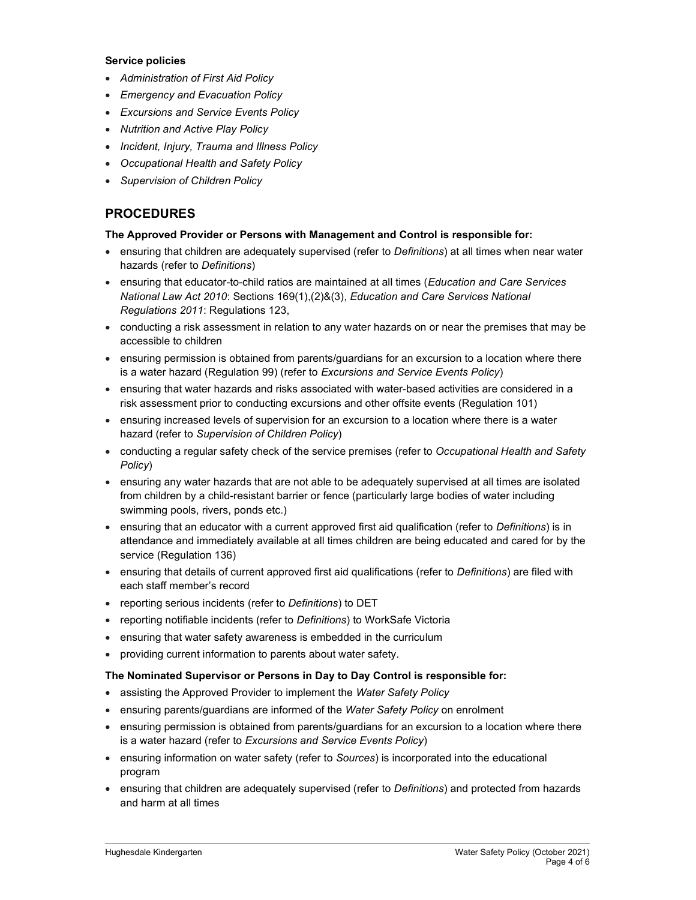#### Service policies

- Administration of First Aid Policy
- Emergency and Evacuation Policy
- Excursions and Service Events Policy
- Nutrition and Active Play Policy
- Incident, Injury, Trauma and Illness Policy
- Occupational Health and Safety Policy
- Supervision of Children Policy

## PROCEDURES

### The Approved Provider or Persons with Management and Control is responsible for:

- ensuring that children are adequately supervised (refer to Definitions) at all times when near water hazards (refer to Definitions)
- ensuring that educator-to-child ratios are maintained at all times (Education and Care Services National Law Act 2010: Sections 169(1),(2)&(3), Education and Care Services National Regulations 2011: Regulations 123,
- conducting a risk assessment in relation to any water hazards on or near the premises that may be accessible to children
- ensuring permission is obtained from parents/guardians for an excursion to a location where there is a water hazard (Regulation 99) (refer to Excursions and Service Events Policy)
- ensuring that water hazards and risks associated with water-based activities are considered in a risk assessment prior to conducting excursions and other offsite events (Regulation 101)
- ensuring increased levels of supervision for an excursion to a location where there is a water hazard (refer to Supervision of Children Policy)
- conducting a regular safety check of the service premises (refer to Occupational Health and Safety Policy)
- ensuring any water hazards that are not able to be adequately supervised at all times are isolated from children by a child-resistant barrier or fence (particularly large bodies of water including swimming pools, rivers, ponds etc.)
- **•** ensuring that an educator with a current approved first aid qualification (refer to Definitions) is in attendance and immediately available at all times children are being educated and cared for by the service (Regulation 136)
- ensuring that details of current approved first aid qualifications (refer to Definitions) are filed with each staff member's record
- reporting serious incidents (refer to Definitions) to DET
- reporting notifiable incidents (refer to Definitions) to WorkSafe Victoria
- ensuring that water safety awareness is embedded in the curriculum
- providing current information to parents about water safety.

### The Nominated Supervisor or Persons in Day to Day Control is responsible for:

- assisting the Approved Provider to implement the Water Safety Policy
- ensuring parents/guardians are informed of the Water Safety Policy on enrolment
- ensuring permission is obtained from parents/guardians for an excursion to a location where there is a water hazard (refer to Excursions and Service Events Policy)
- ensuring information on water safety (refer to Sources) is incorporated into the educational program
- ensuring that children are adequately supervised (refer to *Definitions*) and protected from hazards and harm at all times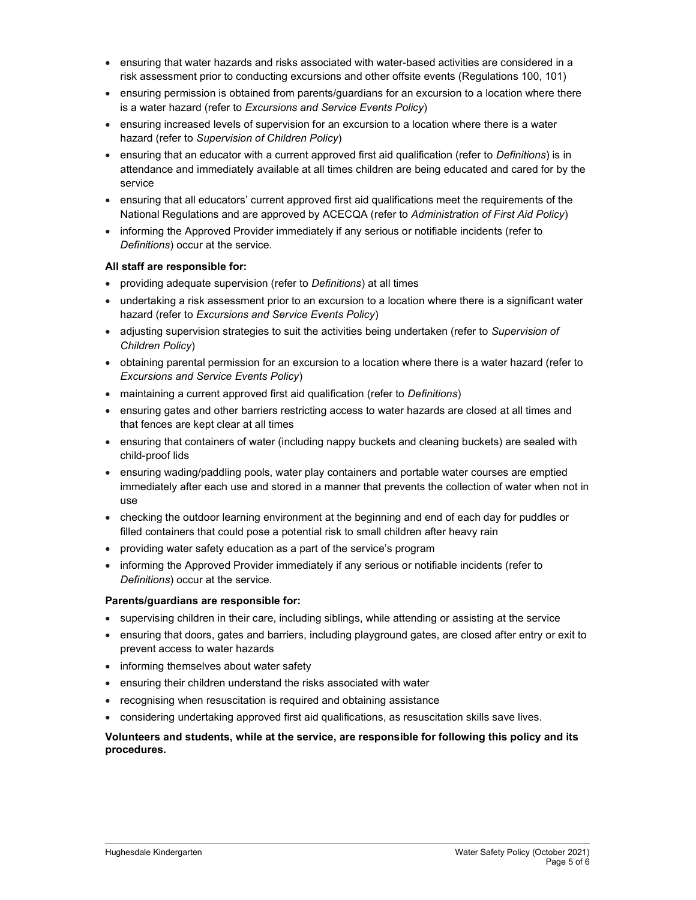- ensuring that water hazards and risks associated with water-based activities are considered in a risk assessment prior to conducting excursions and other offsite events (Regulations 100, 101)
- ensuring permission is obtained from parents/guardians for an excursion to a location where there is a water hazard (refer to Excursions and Service Events Policy)
- ensuring increased levels of supervision for an excursion to a location where there is a water hazard (refer to Supervision of Children Policy)
- ensuring that an educator with a current approved first aid qualification (refer to Definitions) is in attendance and immediately available at all times children are being educated and cared for by the service
- ensuring that all educators' current approved first aid qualifications meet the requirements of the National Regulations and are approved by ACECQA (refer to Administration of First Aid Policy)
- informing the Approved Provider immediately if any serious or notifiable incidents (refer to Definitions) occur at the service.

### All staff are responsible for:

- providing adequate supervision (refer to Definitions) at all times
- undertaking a risk assessment prior to an excursion to a location where there is a significant water hazard (refer to Excursions and Service Events Policy)
- adjusting supervision strategies to suit the activities being undertaken (refer to Supervision of Children Policy)
- obtaining parental permission for an excursion to a location where there is a water hazard (refer to Excursions and Service Events Policy)
- maintaining a current approved first aid qualification (refer to Definitions)
- ensuring gates and other barriers restricting access to water hazards are closed at all times and that fences are kept clear at all times
- ensuring that containers of water (including nappy buckets and cleaning buckets) are sealed with child-proof lids
- ensuring wading/paddling pools, water play containers and portable water courses are emptied immediately after each use and stored in a manner that prevents the collection of water when not in use
- checking the outdoor learning environment at the beginning and end of each day for puddles or filled containers that could pose a potential risk to small children after heavy rain
- providing water safety education as a part of the service's program
- informing the Approved Provider immediately if any serious or notifiable incidents (refer to Definitions) occur at the service.

#### Parents/guardians are responsible for:

- supervising children in their care, including siblings, while attending or assisting at the service
- ensuring that doors, gates and barriers, including playground gates, are closed after entry or exit to prevent access to water hazards
- informing themselves about water safety
- ensuring their children understand the risks associated with water
- recognising when resuscitation is required and obtaining assistance
- considering undertaking approved first aid qualifications, as resuscitation skills save lives.

### Volunteers and students, while at the service, are responsible for following this policy and its procedures.